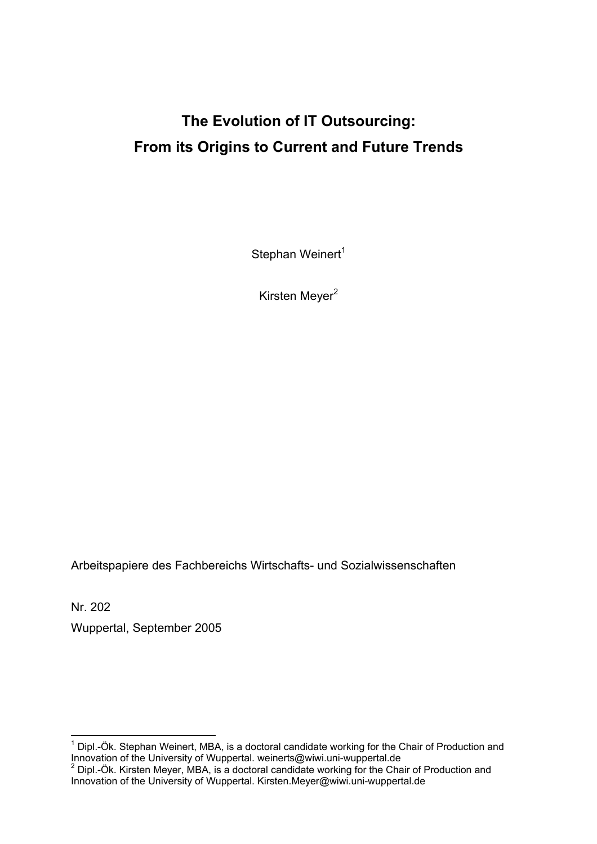# **The Evolution of IT Outsourcing: From its Origins to Current and Future Trends**

Stephan Weinert<sup>1</sup>

Kirsten Meyer<sup>2</sup>

Arbeitspapiere des Fachbereichs Wirtschafts- und Sozialwissenschaften

Nr. 202

1

Wuppertal, September 2005

<sup>1</sup> Dipl.-Ök. Stephan Weinert, MBA, is a doctoral candidate working for the Chair of Production and Innovation of the University of Wuppertal. weinerts@wiwi.uni-wuppertal.de<br><sup>2</sup> Dipl.-Ök. Kirsten Meyer, MBA, is a doctoral candidate working for the Chair of Production and

Innovation of the University of Wuppertal. Kirsten.Meyer@wiwi.uni-wuppertal.de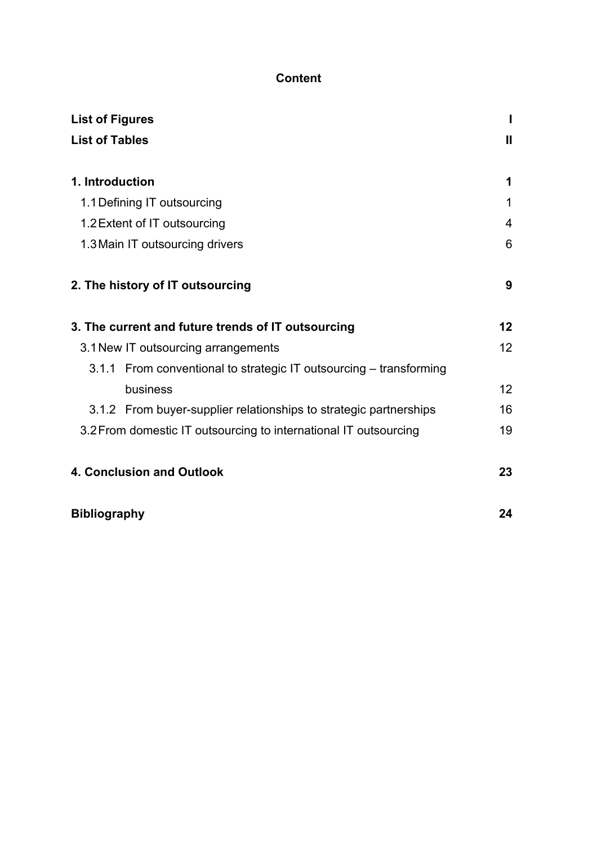# **Content**

| <b>List of Figures</b>                                           |                                                                    |    |
|------------------------------------------------------------------|--------------------------------------------------------------------|----|
| <b>List of Tables</b>                                            |                                                                    |    |
|                                                                  |                                                                    |    |
| 1. Introduction                                                  |                                                                    | 1  |
|                                                                  | 1.1 Defining IT outsourcing                                        | 1  |
|                                                                  | 1.2 Extent of IT outsourcing                                       | 4  |
|                                                                  | 1.3 Main IT outsourcing drivers                                    | 6  |
|                                                                  |                                                                    |    |
|                                                                  | 2. The history of IT outsourcing                                   | 9  |
|                                                                  |                                                                    |    |
|                                                                  | 3. The current and future trends of IT outsourcing                 | 12 |
|                                                                  | 3.1 New IT outsourcing arrangements                                | 12 |
|                                                                  | 3.1.1 From conventional to strategic IT outsourcing – transforming |    |
|                                                                  | business                                                           | 12 |
|                                                                  | 3.1.2 From buyer-supplier relationships to strategic partnerships  | 16 |
| 3.2 From domestic IT outsourcing to international IT outsourcing |                                                                    |    |
|                                                                  |                                                                    |    |
|                                                                  | 4. Conclusion and Outlook                                          | 23 |
|                                                                  |                                                                    |    |
| <b>Bibliography</b>                                              |                                                                    | 24 |
|                                                                  |                                                                    |    |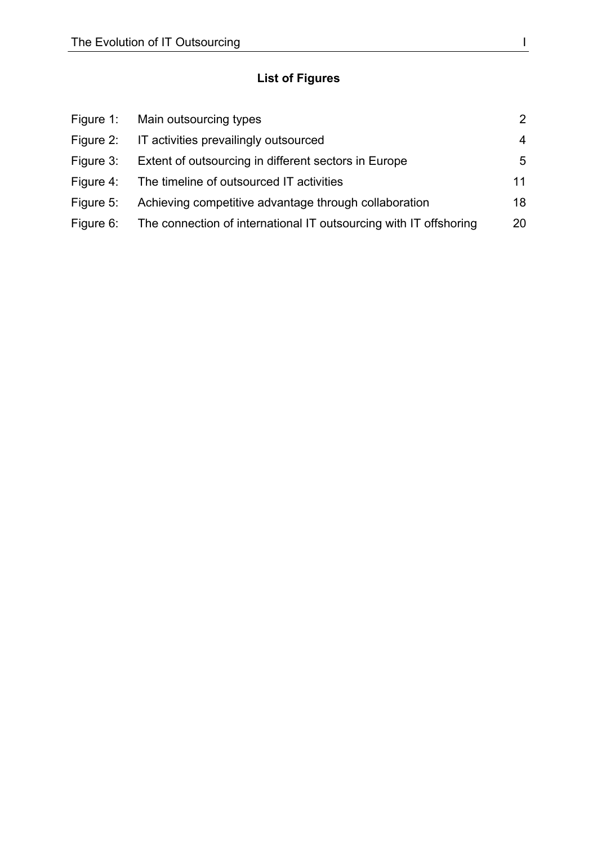# **List of Figures**

|           | Figure 1: Main outsourcing types                                            | $\mathcal{P}$ |
|-----------|-----------------------------------------------------------------------------|---------------|
| Figure 2: | IT activities prevailingly outsourced                                       | 4             |
| Figure 3: | Extent of outsourcing in different sectors in Europe                        | 5             |
|           | Figure 4: The timeline of outsourced IT activities                          | 11            |
| Figure 5: | Achieving competitive advantage through collaboration                       | 18            |
|           | Figure 6: The connection of international IT outsourcing with IT offshoring | 20            |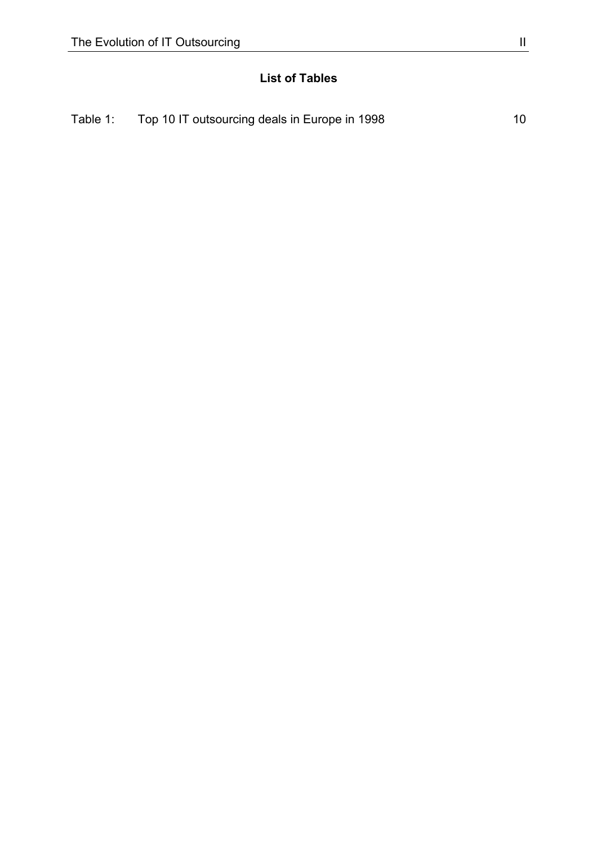# **List of Tables**

| Table 1: | Top 10 IT outsourcing deals in Europe in 1998 |  |
|----------|-----------------------------------------------|--|
|----------|-----------------------------------------------|--|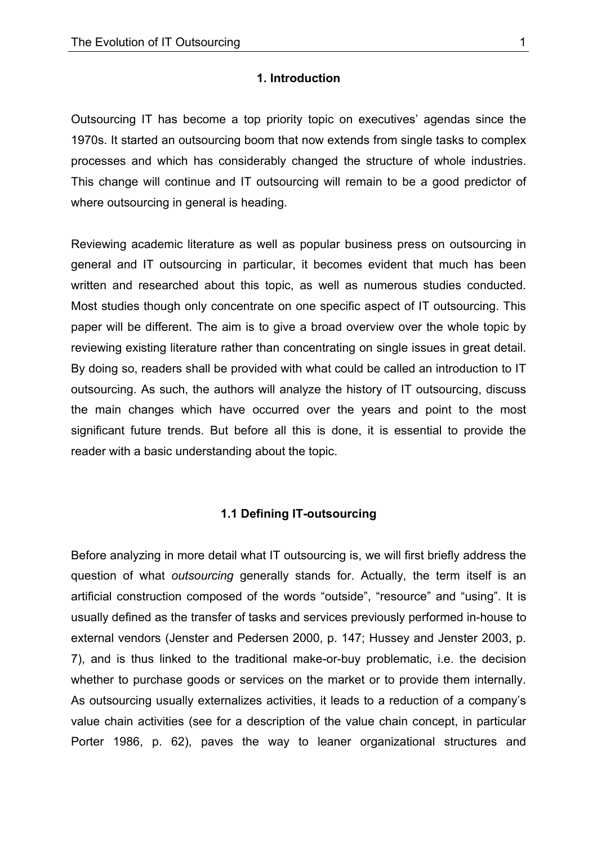#### **1. Introduction**

Outsourcing IT has become a top priority topic on executives' agendas since the 1970s. It started an outsourcing boom that now extends from single tasks to complex processes and which has considerably changed the structure of whole industries. This change will continue and IT outsourcing will remain to be a good predictor of where outsourcing in general is heading.

Reviewing academic literature as well as popular business press on outsourcing in general and IT outsourcing in particular, it becomes evident that much has been written and researched about this topic, as well as numerous studies conducted. Most studies though only concentrate on one specific aspect of IT outsourcing. This paper will be different. The aim is to give a broad overview over the whole topic by reviewing existing literature rather than concentrating on single issues in great detail. By doing so, readers shall be provided with what could be called an introduction to IT outsourcing. As such, the authors will analyze the history of IT outsourcing, discuss the main changes which have occurred over the years and point to the most significant future trends. But before all this is done, it is essential to provide the reader with a basic understanding about the topic.

#### **1.1 Defining IT-outsourcing**

Before analyzing in more detail what IT outsourcing is, we will first briefly address the question of what *outsourcing* generally stands for. Actually, the term itself is an artificial construction composed of the words "outside", "resource" and "using". It is usually defined as the transfer of tasks and services previously performed in-house to external vendors (Jenster and Pedersen 2000, p. 147; Hussey and Jenster 2003, p. 7), and is thus linked to the traditional make-or-buy problematic, i.e. the decision whether to purchase goods or services on the market or to provide them internally. As outsourcing usually externalizes activities, it leads to a reduction of a company's value chain activities (see for a description of the value chain concept, in particular Porter 1986, p. 62), paves the way to leaner organizational structures and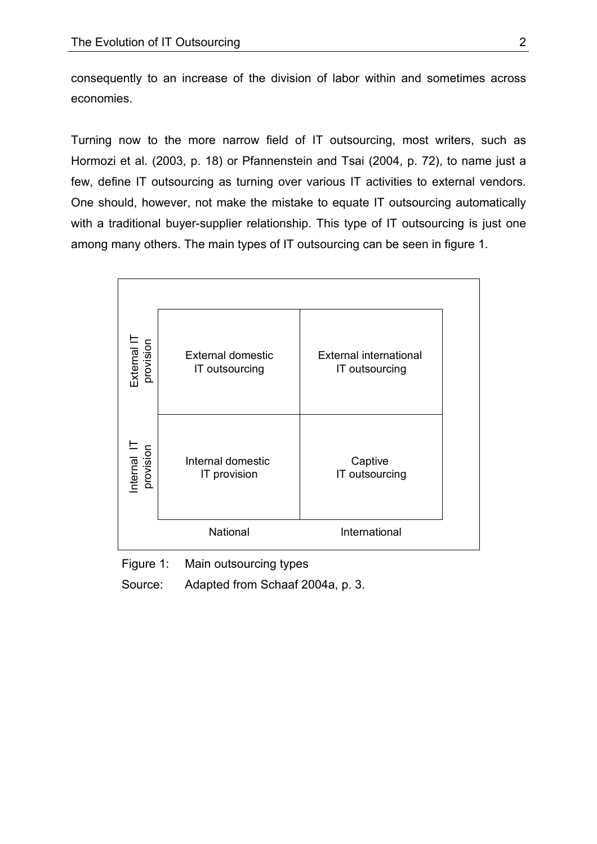consequently to an increase of the division of labor within and sometimes across economies.

Turning now to the more narrow field of IT outsourcing, most writers, such as Hormozi et al. (2003, p. 18) or Pfannenstein and Tsai (2004, p. 72), to name just a few, define IT outsourcing as turning over various IT activities to external vendors. One should, however, not make the mistake to equate IT outsourcing automatically with a traditional buyer-supplier relationship. This type of IT outsourcing is just one among many others. The main types of IT outsourcing can be seen in figure 1.

| External IT<br>provision | <b>External domestic</b><br>IT outsourcing | <b>External international</b><br>IT outsourcing |
|--------------------------|--------------------------------------------|-------------------------------------------------|
| Internal IT<br>provision | Internal domestic<br>IT provision          | Captive<br>IT outsourcing                       |
|                          | National                                   | International                                   |

Figure 1: Main outsourcing types

Source: Adapted from Schaaf 2004a, p. 3.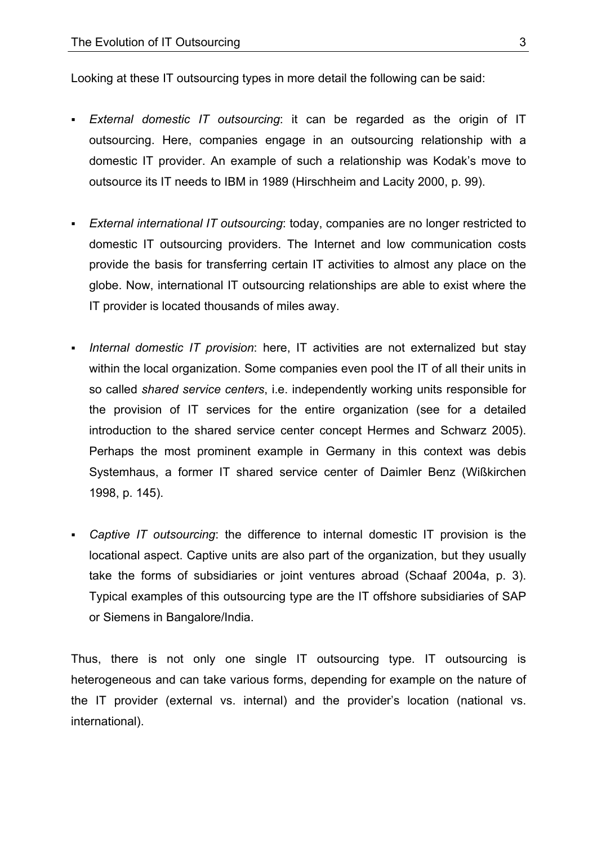Looking at these IT outsourcing types in more detail the following can be said:

- *External domestic IT outsourcing*: it can be regarded as the origin of IT outsourcing. Here, companies engage in an outsourcing relationship with a domestic IT provider. An example of such a relationship was Kodak's move to outsource its IT needs to IBM in 1989 (Hirschheim and Lacity 2000, p. 99).
- *External international IT outsourcing*: today, companies are no longer restricted to domestic IT outsourcing providers. The Internet and low communication costs provide the basis for transferring certain IT activities to almost any place on the globe. Now, international IT outsourcing relationships are able to exist where the IT provider is located thousands of miles away.
- *Internal domestic IT provision*: here, IT activities are not externalized but stay within the local organization. Some companies even pool the IT of all their units in so called *shared service centers*, i.e. independently working units responsible for the provision of IT services for the entire organization (see for a detailed introduction to the shared service center concept Hermes and Schwarz 2005). Perhaps the most prominent example in Germany in this context was debis Systemhaus, a former IT shared service center of Daimler Benz (Wißkirchen 1998, p. 145).
- *Captive IT outsourcing*: the difference to internal domestic IT provision is the locational aspect. Captive units are also part of the organization, but they usually take the forms of subsidiaries or joint ventures abroad (Schaaf 2004a, p. 3). Typical examples of this outsourcing type are the IT offshore subsidiaries of SAP or Siemens in Bangalore/India.

Thus, there is not only one single IT outsourcing type. IT outsourcing is heterogeneous and can take various forms, depending for example on the nature of the IT provider (external vs. internal) and the provider's location (national vs. international).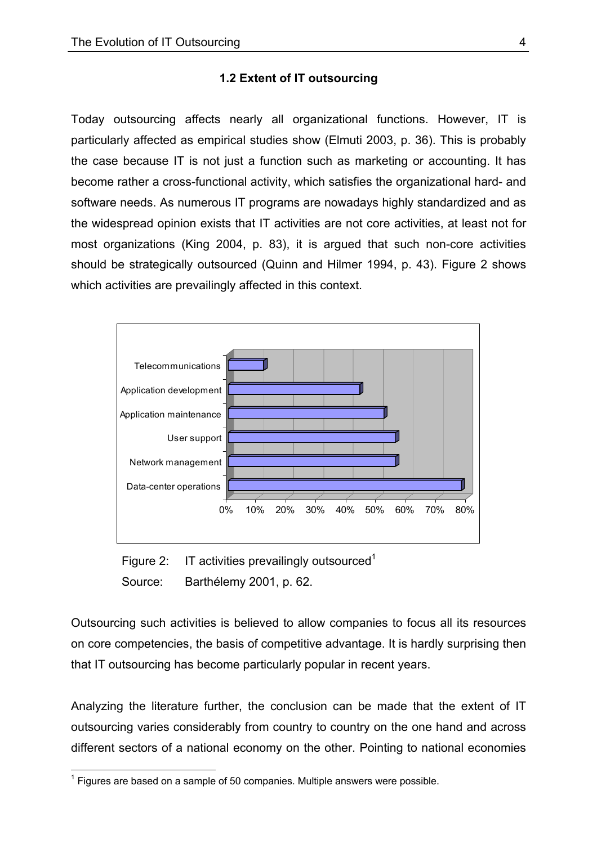### **1.2 Extent of IT outsourcing**

Today outsourcing affects nearly all organizational functions. However, IT is particularly affected as empirical studies show (Elmuti 2003, p. 36). This is probably the case because IT is not just a function such as marketing or accounting. It has become rather a cross-functional activity, which satisfies the organizational hard- and software needs. As numerous IT programs are nowadays highly standardized and as the widespread opinion exists that IT activities are not core activities, at least not for most organizations (King 2004, p. 83), it is argued that such non-core activities should be strategically outsourced (Quinn and Hilmer 1994, p. 43). Figure 2 shows which activities are prevailingly affected in this context.



Figure 2: IT activities prevailingly outsourced<sup>1</sup> Source: Barthélemy 2001, p. 62.

Outsourcing such activities is believed to allow companies to focus all its resources on core competencies, the basis of competitive advantage. It is hardly surprising then that IT outsourcing has become particularly popular in recent years.

Analyzing the literature further, the conclusion can be made that the extent of IT outsourcing varies considerably from country to country on the one hand and across different sectors of a national economy on the other. Pointing to national economies

<sup>1</sup>  $1$  Figures are based on a sample of 50 companies. Multiple answers were possible.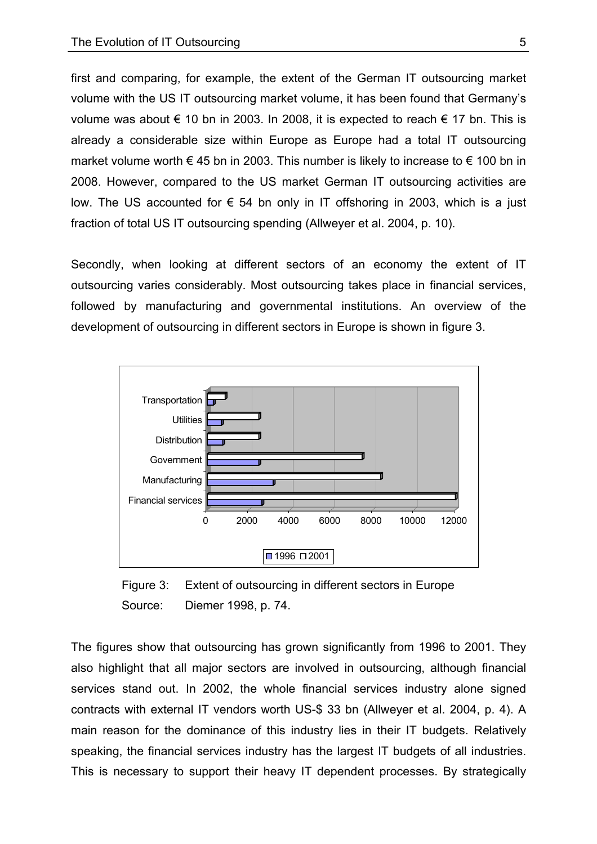first and comparing, for example, the extent of the German IT outsourcing market volume with the US IT outsourcing market volume, it has been found that Germany's volume was about € 10 bn in 2003. In 2008, it is expected to reach  $∈ 17$  bn. This is already a considerable size within Europe as Europe had a total IT outsourcing market volume worth  $\epsilon$  45 bn in 2003. This number is likely to increase to  $\epsilon$  100 bn in 2008. However, compared to the US market German IT outsourcing activities are low. The US accounted for  $€$  54 bn only in IT offshoring in 2003, which is a just fraction of total US IT outsourcing spending (Allweyer et al. 2004, p. 10).

Secondly, when looking at different sectors of an economy the extent of IT outsourcing varies considerably. Most outsourcing takes place in financial services, followed by manufacturing and governmental institutions. An overview of the development of outsourcing in different sectors in Europe is shown in figure 3.



Figure 3: Extent of outsourcing in different sectors in Europe Source: Diemer 1998, p. 74.

The figures show that outsourcing has grown significantly from 1996 to 2001. They also highlight that all major sectors are involved in outsourcing, although financial services stand out. In 2002, the whole financial services industry alone signed contracts with external IT vendors worth US-\$ 33 bn (Allweyer et al. 2004, p. 4). A main reason for the dominance of this industry lies in their IT budgets. Relatively speaking, the financial services industry has the largest IT budgets of all industries. This is necessary to support their heavy IT dependent processes. By strategically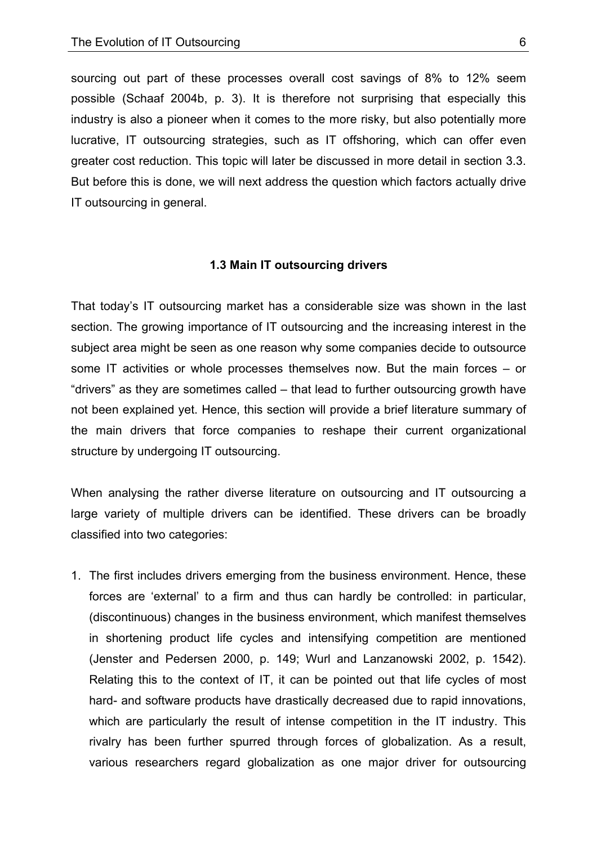sourcing out part of these processes overall cost savings of 8% to 12% seem possible (Schaaf 2004b, p. 3). It is therefore not surprising that especially this industry is also a pioneer when it comes to the more risky, but also potentially more lucrative, IT outsourcing strategies, such as IT offshoring, which can offer even greater cost reduction. This topic will later be discussed in more detail in section 3.3. But before this is done, we will next address the question which factors actually drive IT outsourcing in general.

#### **1.3 Main IT outsourcing drivers**

That today's IT outsourcing market has a considerable size was shown in the last section. The growing importance of IT outsourcing and the increasing interest in the subject area might be seen as one reason why some companies decide to outsource some IT activities or whole processes themselves now. But the main forces – or "drivers" as they are sometimes called – that lead to further outsourcing growth have not been explained yet. Hence, this section will provide a brief literature summary of the main drivers that force companies to reshape their current organizational structure by undergoing IT outsourcing.

When analysing the rather diverse literature on outsourcing and IT outsourcing a large variety of multiple drivers can be identified. These drivers can be broadly classified into two categories:

1. The first includes drivers emerging from the business environment. Hence, these forces are 'external' to a firm and thus can hardly be controlled: in particular, (discontinuous) changes in the business environment, which manifest themselves in shortening product life cycles and intensifying competition are mentioned (Jenster and Pedersen 2000, p. 149; Wurl and Lanzanowski 2002, p. 1542). Relating this to the context of IT, it can be pointed out that life cycles of most hard- and software products have drastically decreased due to rapid innovations, which are particularly the result of intense competition in the IT industry. This rivalry has been further spurred through forces of globalization. As a result, various researchers regard globalization as one major driver for outsourcing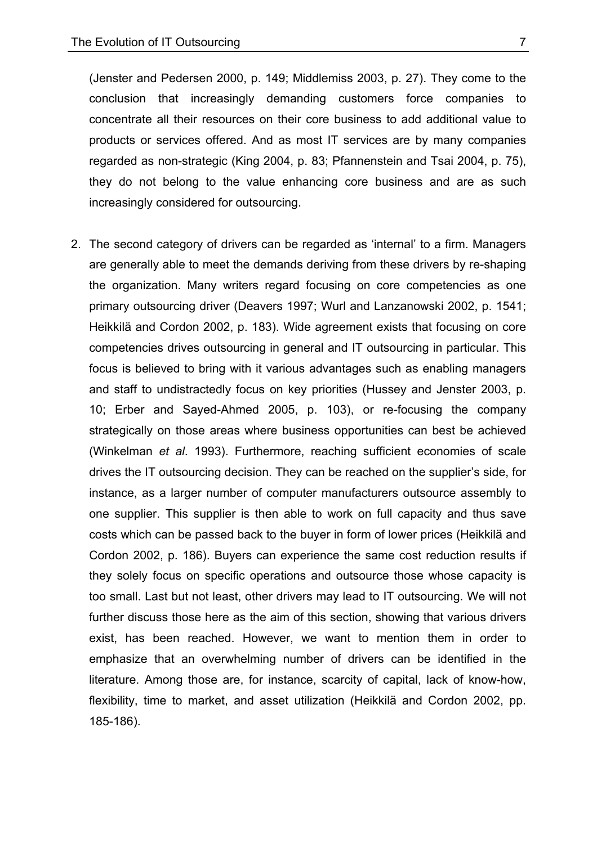(Jenster and Pedersen 2000, p. 149; Middlemiss 2003, p. 27). They come to the conclusion that increasingly demanding customers force companies to concentrate all their resources on their core business to add additional value to products or services offered. And as most IT services are by many companies regarded as non-strategic (King 2004, p. 83; Pfannenstein and Tsai 2004, p. 75), they do not belong to the value enhancing core business and are as such increasingly considered for outsourcing.

2. The second category of drivers can be regarded as 'internal' to a firm. Managers are generally able to meet the demands deriving from these drivers by re-shaping the organization. Many writers regard focusing on core competencies as one primary outsourcing driver (Deavers 1997; Wurl and Lanzanowski 2002, p. 1541; Heikkilä and Cordon 2002, p. 183). Wide agreement exists that focusing on core competencies drives outsourcing in general and IT outsourcing in particular. This focus is believed to bring with it various advantages such as enabling managers and staff to undistractedly focus on key priorities (Hussey and Jenster 2003, p. 10; Erber and Sayed-Ahmed 2005, p. 103), or re-focusing the company strategically on those areas where business opportunities can best be achieved (Winkelman *et al*. 1993). Furthermore, reaching sufficient economies of scale drives the IT outsourcing decision. They can be reached on the supplier's side, for instance, as a larger number of computer manufacturers outsource assembly to one supplier. This supplier is then able to work on full capacity and thus save costs which can be passed back to the buyer in form of lower prices (Heikkilä and Cordon 2002, p. 186). Buyers can experience the same cost reduction results if they solely focus on specific operations and outsource those whose capacity is too small. Last but not least, other drivers may lead to IT outsourcing. We will not further discuss those here as the aim of this section, showing that various drivers exist, has been reached. However, we want to mention them in order to emphasize that an overwhelming number of drivers can be identified in the literature. Among those are, for instance, scarcity of capital, lack of know-how, flexibility, time to market, and asset utilization (Heikkilä and Cordon 2002, pp. 185-186).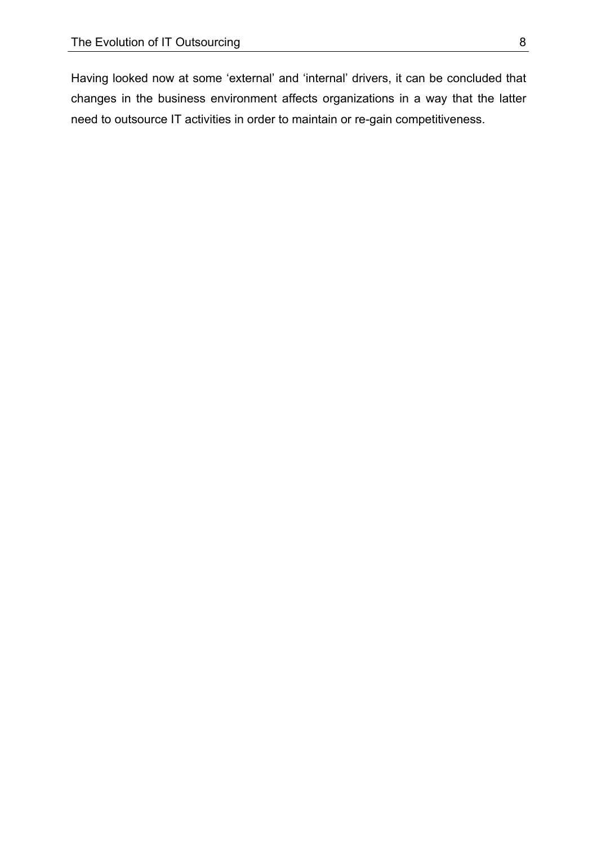Having looked now at some 'external' and 'internal' drivers, it can be concluded that changes in the business environment affects organizations in a way that the latter need to outsource IT activities in order to maintain or re-gain competitiveness.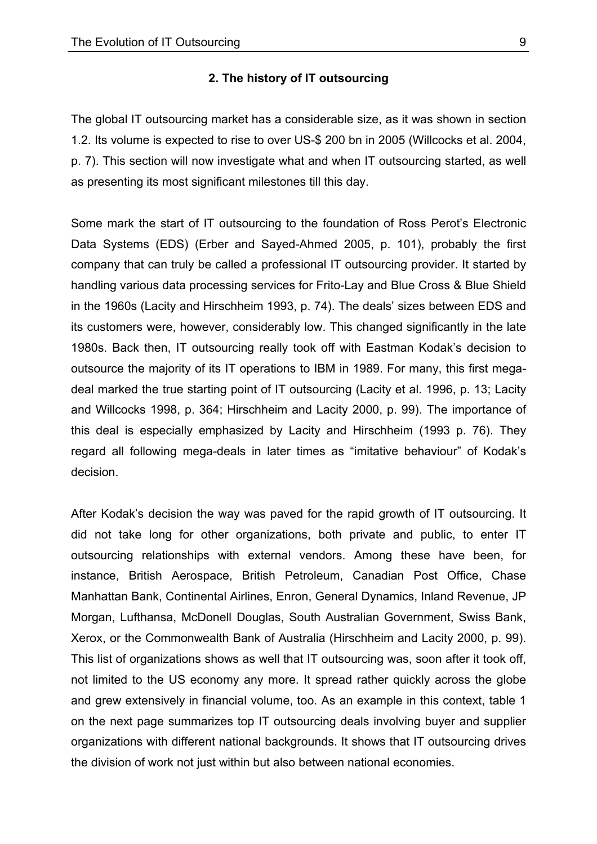### **2. The history of IT outsourcing**

The global IT outsourcing market has a considerable size, as it was shown in section 1.2. Its volume is expected to rise to over US-\$ 200 bn in 2005 (Willcocks et al. 2004, p. 7). This section will now investigate what and when IT outsourcing started, as well as presenting its most significant milestones till this day.

Some mark the start of IT outsourcing to the foundation of Ross Perot's Electronic Data Systems (EDS) (Erber and Sayed-Ahmed 2005, p. 101), probably the first company that can truly be called a professional IT outsourcing provider. It started by handling various data processing services for Frito-Lay and Blue Cross & Blue Shield in the 1960s (Lacity and Hirschheim 1993, p. 74). The deals' sizes between EDS and its customers were, however, considerably low. This changed significantly in the late 1980s. Back then, IT outsourcing really took off with Eastman Kodak's decision to outsource the majority of its IT operations to IBM in 1989. For many, this first megadeal marked the true starting point of IT outsourcing (Lacity et al. 1996, p. 13; Lacity and Willcocks 1998, p. 364; Hirschheim and Lacity 2000, p. 99). The importance of this deal is especially emphasized by Lacity and Hirschheim (1993 p. 76). They regard all following mega-deals in later times as "imitative behaviour" of Kodak's decision.

After Kodak's decision the way was paved for the rapid growth of IT outsourcing. It did not take long for other organizations, both private and public, to enter IT outsourcing relationships with external vendors. Among these have been, for instance, British Aerospace, British Petroleum, Canadian Post Office, Chase Manhattan Bank, Continental Airlines, Enron, General Dynamics, Inland Revenue, JP Morgan, Lufthansa, McDonell Douglas, South Australian Government, Swiss Bank, Xerox, or the Commonwealth Bank of Australia (Hirschheim and Lacity 2000, p. 99). This list of organizations shows as well that IT outsourcing was, soon after it took off, not limited to the US economy any more. It spread rather quickly across the globe and grew extensively in financial volume, too. As an example in this context, table 1 on the next page summarizes top IT outsourcing deals involving buyer and supplier organizations with different national backgrounds. It shows that IT outsourcing drives the division of work not just within but also between national economies.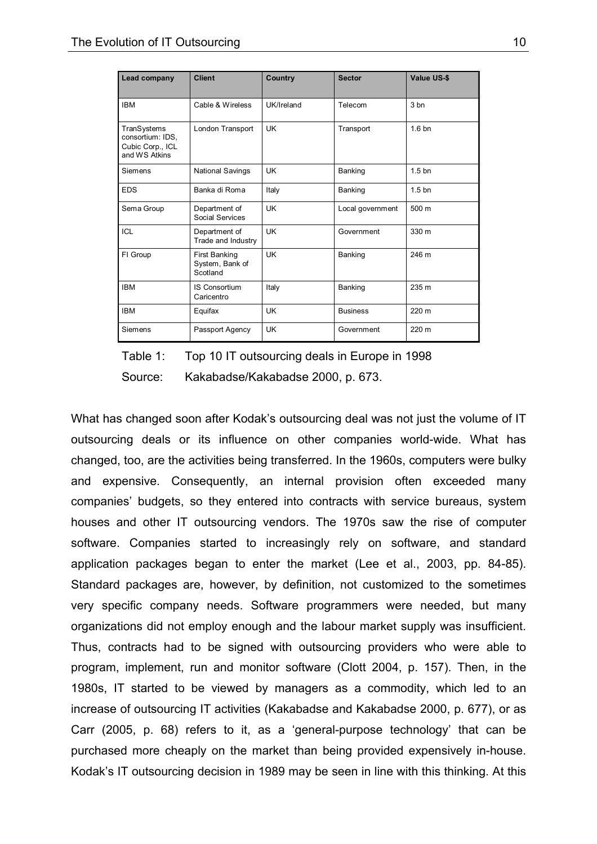| Lead company                                                         | <b>Client</b>                                | Country    | <b>Sector</b>    | <b>Value US-\$</b> |
|----------------------------------------------------------------------|----------------------------------------------|------------|------------------|--------------------|
| <b>IBM</b>                                                           | Cable & Wireless                             | UK/Ireland | Telecom          | 3 <sub>bn</sub>    |
| TranSystems<br>consortium: IDS,<br>Cubic Corp., ICL<br>and WS Atkins | London Transport                             | <b>UK</b>  | Transport        | 1.6 <sub>bn</sub>  |
| Siemens                                                              | <b>National Savings</b>                      | <b>UK</b>  | Banking          | 1.5 <sub>bn</sub>  |
| <b>EDS</b>                                                           | Banka di Roma                                | Italy      | Banking          | 1.5 <sub>bn</sub>  |
| Sema Group                                                           | Department of<br>Social Services             | <b>UK</b>  | Local government | 500 m              |
| ICL                                                                  | Department of<br>Trade and Industry          | <b>UK</b>  | Government       | 330 m              |
| FI Group                                                             | First Banking<br>System, Bank of<br>Scotland | <b>UK</b>  | Banking          | 246 m              |
| <b>IBM</b>                                                           | IS Consortium<br>Caricentro                  | Italy      | Banking          | 235 m              |
| <b>IBM</b>                                                           | Equifax                                      | <b>UK</b>  | <b>Business</b>  | 220 m              |
| Siemens                                                              | Passport Agency                              | <b>UK</b>  | Government       | 220 m              |

Table 1: Top 10 IT outsourcing deals in Europe in 1998

Source: Kakabadse/Kakabadse 2000, p. 673.

What has changed soon after Kodak's outsourcing deal was not just the volume of IT outsourcing deals or its influence on other companies world-wide. What has changed, too, are the activities being transferred. In the 1960s, computers were bulky and expensive. Consequently, an internal provision often exceeded many companies' budgets, so they entered into contracts with service bureaus, system houses and other IT outsourcing vendors. The 1970s saw the rise of computer software. Companies started to increasingly rely on software, and standard application packages began to enter the market (Lee et al., 2003, pp. 84-85). Standard packages are, however, by definition, not customized to the sometimes very specific company needs. Software programmers were needed, but many organizations did not employ enough and the labour market supply was insufficient. Thus, contracts had to be signed with outsourcing providers who were able to program, implement, run and monitor software (Clott 2004, p. 157). Then, in the 1980s, IT started to be viewed by managers as a commodity, which led to an increase of outsourcing IT activities (Kakabadse and Kakabadse 2000, p. 677), or as Carr (2005, p. 68) refers to it, as a 'general-purpose technology' that can be purchased more cheaply on the market than being provided expensively in-house. Kodak's IT outsourcing decision in 1989 may be seen in line with this thinking. At this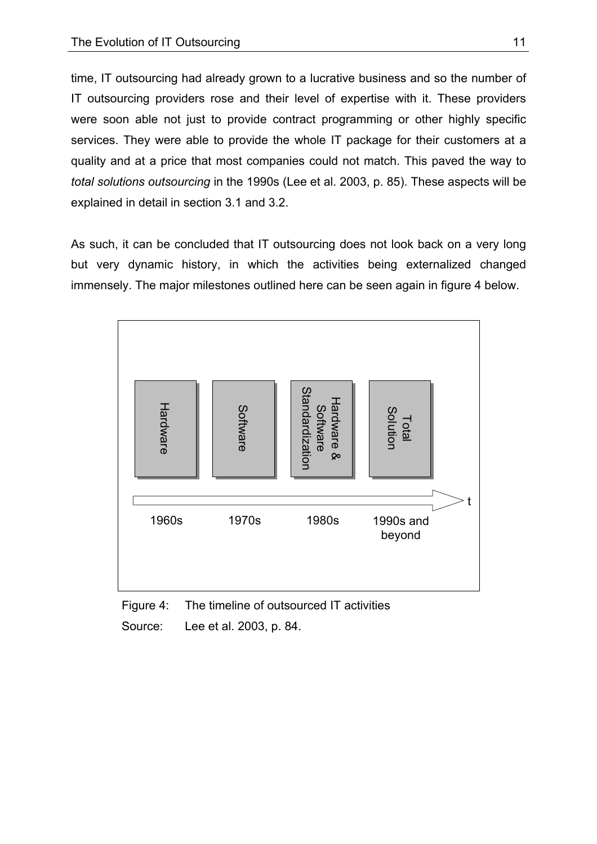time, IT outsourcing had already grown to a lucrative business and so the number of IT outsourcing providers rose and their level of expertise with it. These providers were soon able not just to provide contract programming or other highly specific services. They were able to provide the whole IT package for their customers at a quality and at a price that most companies could not match. This paved the way to *total solutions outsourcing* in the 1990s (Lee et al. 2003, p. 85). These aspects will be explained in detail in section 3.1 and 3.2.

As such, it can be concluded that IT outsourcing does not look back on a very long but very dynamic history, in which the activities being externalized changed immensely. The major milestones outlined here can be seen again in figure 4 below.



Figure 4: The timeline of outsourced IT activities Source: Lee et al. 2003, p. 84.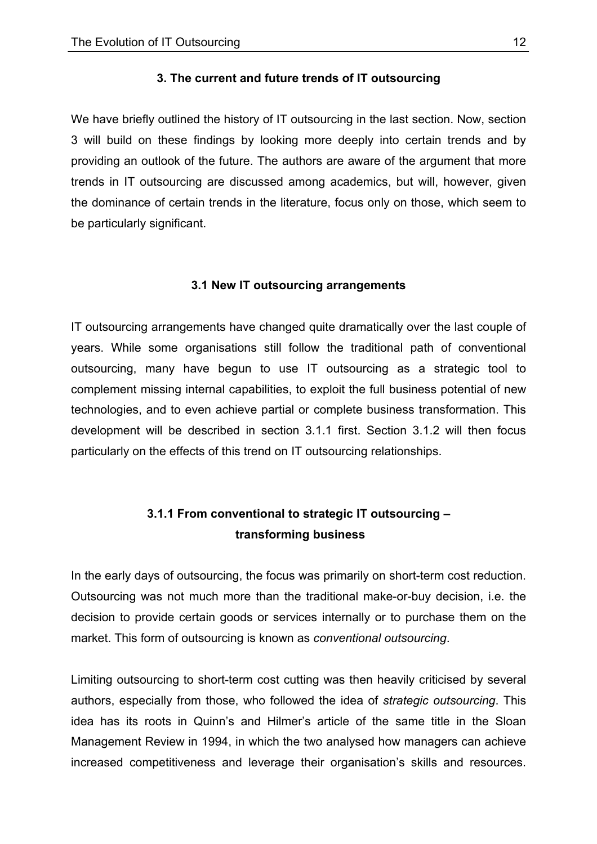#### **3. The current and future trends of IT outsourcing**

We have briefly outlined the history of IT outsourcing in the last section. Now, section 3 will build on these findings by looking more deeply into certain trends and by providing an outlook of the future. The authors are aware of the argument that more trends in IT outsourcing are discussed among academics, but will, however, given the dominance of certain trends in the literature, focus only on those, which seem to be particularly significant.

### **3.1 New IT outsourcing arrangements**

IT outsourcing arrangements have changed quite dramatically over the last couple of years. While some organisations still follow the traditional path of conventional outsourcing, many have begun to use IT outsourcing as a strategic tool to complement missing internal capabilities, to exploit the full business potential of new technologies, and to even achieve partial or complete business transformation. This development will be described in section 3.1.1 first. Section 3.1.2 will then focus particularly on the effects of this trend on IT outsourcing relationships.

# **3.1.1 From conventional to strategic IT outsourcing – transforming business**

In the early days of outsourcing, the focus was primarily on short-term cost reduction. Outsourcing was not much more than the traditional make-or-buy decision, i.e. the decision to provide certain goods or services internally or to purchase them on the market. This form of outsourcing is known as *conventional outsourcing*.

Limiting outsourcing to short-term cost cutting was then heavily criticised by several authors, especially from those, who followed the idea of *strategic outsourcing*. This idea has its roots in Quinn's and Hilmer's article of the same title in the Sloan Management Review in 1994, in which the two analysed how managers can achieve increased competitiveness and leverage their organisation's skills and resources.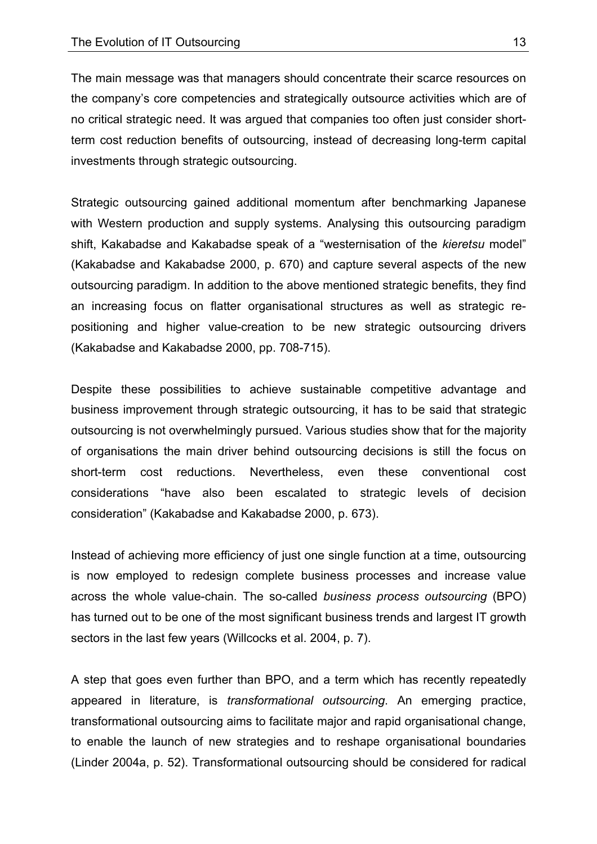The main message was that managers should concentrate their scarce resources on the company's core competencies and strategically outsource activities which are of no critical strategic need. It was argued that companies too often just consider shortterm cost reduction benefits of outsourcing, instead of decreasing long-term capital investments through strategic outsourcing.

Strategic outsourcing gained additional momentum after benchmarking Japanese with Western production and supply systems. Analysing this outsourcing paradigm shift, Kakabadse and Kakabadse speak of a "westernisation of the *kieretsu* model" (Kakabadse and Kakabadse 2000, p. 670) and capture several aspects of the new outsourcing paradigm. In addition to the above mentioned strategic benefits, they find an increasing focus on flatter organisational structures as well as strategic repositioning and higher value-creation to be new strategic outsourcing drivers (Kakabadse and Kakabadse 2000, pp. 708-715).

Despite these possibilities to achieve sustainable competitive advantage and business improvement through strategic outsourcing, it has to be said that strategic outsourcing is not overwhelmingly pursued. Various studies show that for the majority of organisations the main driver behind outsourcing decisions is still the focus on short-term cost reductions. Nevertheless, even these conventional cost considerations "have also been escalated to strategic levels of decision consideration" (Kakabadse and Kakabadse 2000, p. 673).

Instead of achieving more efficiency of just one single function at a time, outsourcing is now employed to redesign complete business processes and increase value across the whole value-chain. The so-called *business process outsourcing* (BPO) has turned out to be one of the most significant business trends and largest IT growth sectors in the last few years (Willcocks et al. 2004, p. 7).

A step that goes even further than BPO, and a term which has recently repeatedly appeared in literature, is *transformational outsourcing*. An emerging practice, transformational outsourcing aims to facilitate major and rapid organisational change, to enable the launch of new strategies and to reshape organisational boundaries (Linder 2004a, p. 52). Transformational outsourcing should be considered for radical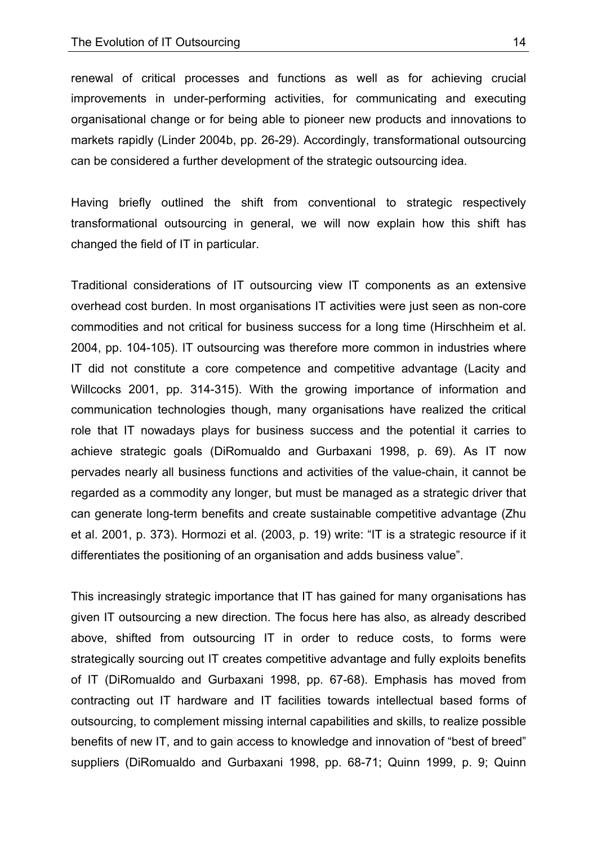renewal of critical processes and functions as well as for achieving crucial improvements in under-performing activities, for communicating and executing organisational change or for being able to pioneer new products and innovations to markets rapidly (Linder 2004b, pp. 26-29). Accordingly, transformational outsourcing can be considered a further development of the strategic outsourcing idea.

Having briefly outlined the shift from conventional to strategic respectively transformational outsourcing in general, we will now explain how this shift has changed the field of IT in particular.

Traditional considerations of IT outsourcing view IT components as an extensive overhead cost burden. In most organisations IT activities were just seen as non-core commodities and not critical for business success for a long time (Hirschheim et al. 2004, pp. 104-105). IT outsourcing was therefore more common in industries where IT did not constitute a core competence and competitive advantage (Lacity and Willcocks 2001, pp. 314-315). With the growing importance of information and communication technologies though, many organisations have realized the critical role that IT nowadays plays for business success and the potential it carries to achieve strategic goals (DiRomualdo and Gurbaxani 1998, p. 69). As IT now pervades nearly all business functions and activities of the value-chain, it cannot be regarded as a commodity any longer, but must be managed as a strategic driver that can generate long-term benefits and create sustainable competitive advantage (Zhu et al. 2001, p. 373). Hormozi et al. (2003, p. 19) write: "IT is a strategic resource if it differentiates the positioning of an organisation and adds business value".

This increasingly strategic importance that IT has gained for many organisations has given IT outsourcing a new direction. The focus here has also, as already described above, shifted from outsourcing IT in order to reduce costs, to forms were strategically sourcing out IT creates competitive advantage and fully exploits benefits of IT (DiRomualdo and Gurbaxani 1998, pp. 67-68). Emphasis has moved from contracting out IT hardware and IT facilities towards intellectual based forms of outsourcing, to complement missing internal capabilities and skills, to realize possible benefits of new IT, and to gain access to knowledge and innovation of "best of breed" suppliers (DiRomualdo and Gurbaxani 1998, pp. 68-71; Quinn 1999, p. 9; Quinn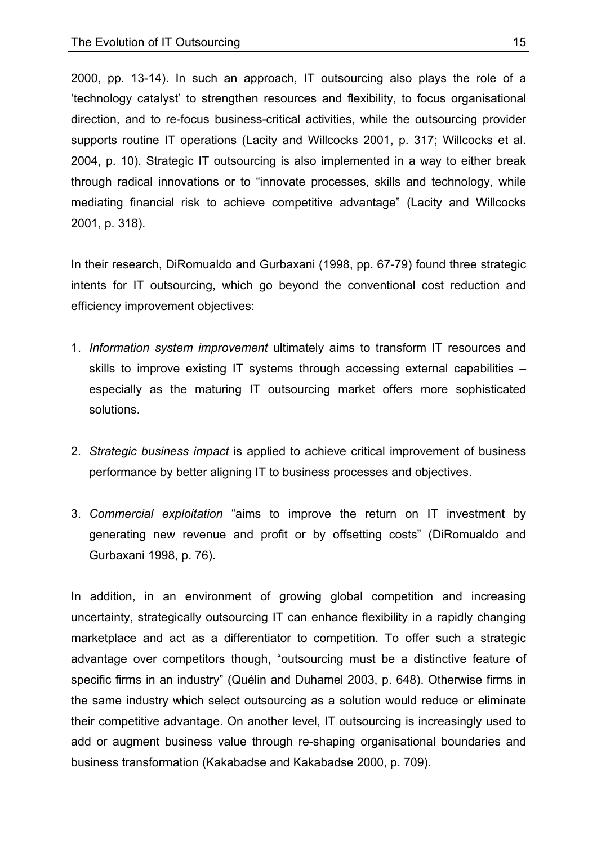2000, pp. 13-14). In such an approach, IT outsourcing also plays the role of a 'technology catalyst' to strengthen resources and flexibility, to focus organisational direction, and to re-focus business-critical activities, while the outsourcing provider supports routine IT operations (Lacity and Willcocks 2001, p. 317; Willcocks et al. 2004, p. 10). Strategic IT outsourcing is also implemented in a way to either break through radical innovations or to "innovate processes, skills and technology, while mediating financial risk to achieve competitive advantage" (Lacity and Willcocks 2001, p. 318).

In their research, DiRomualdo and Gurbaxani (1998, pp. 67-79) found three strategic intents for IT outsourcing, which go beyond the conventional cost reduction and efficiency improvement objectives:

- 1. *Information system improvement* ultimately aims to transform IT resources and skills to improve existing IT systems through accessing external capabilities – especially as the maturing IT outsourcing market offers more sophisticated solutions.
- 2. *Strategic business impact* is applied to achieve critical improvement of business performance by better aligning IT to business processes and objectives.
- 3. *Commercial exploitation* "aims to improve the return on IT investment by generating new revenue and profit or by offsetting costs" (DiRomualdo and Gurbaxani 1998, p. 76).

In addition, in an environment of growing global competition and increasing uncertainty, strategically outsourcing IT can enhance flexibility in a rapidly changing marketplace and act as a differentiator to competition. To offer such a strategic advantage over competitors though, "outsourcing must be a distinctive feature of specific firms in an industry" (Quélin and Duhamel 2003, p. 648). Otherwise firms in the same industry which select outsourcing as a solution would reduce or eliminate their competitive advantage. On another level, IT outsourcing is increasingly used to add or augment business value through re-shaping organisational boundaries and business transformation (Kakabadse and Kakabadse 2000, p. 709).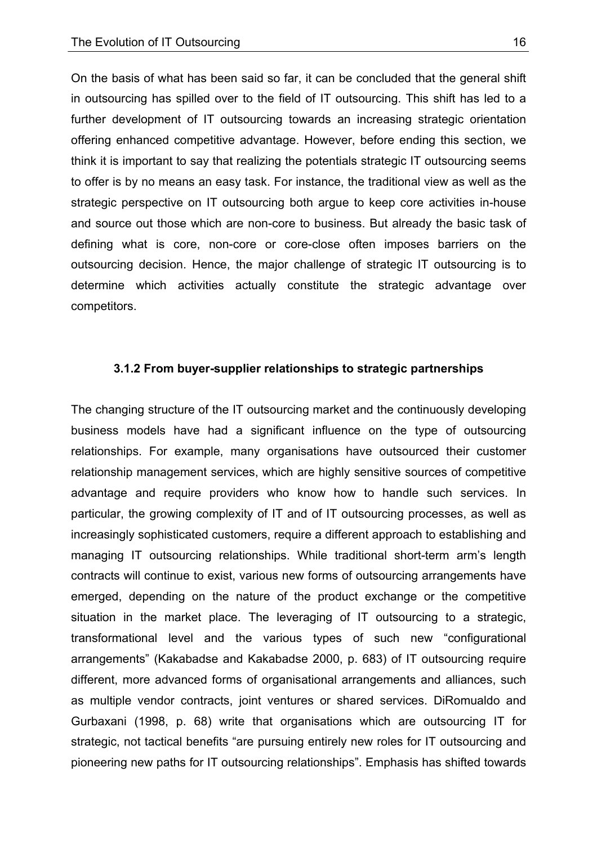On the basis of what has been said so far, it can be concluded that the general shift in outsourcing has spilled over to the field of IT outsourcing. This shift has led to a further development of IT outsourcing towards an increasing strategic orientation offering enhanced competitive advantage. However, before ending this section, we think it is important to say that realizing the potentials strategic IT outsourcing seems to offer is by no means an easy task. For instance, the traditional view as well as the strategic perspective on IT outsourcing both argue to keep core activities in-house and source out those which are non-core to business. But already the basic task of defining what is core, non-core or core-close often imposes barriers on the outsourcing decision. Hence, the major challenge of strategic IT outsourcing is to determine which activities actually constitute the strategic advantage over competitors.

#### **3.1.2 From buyer-supplier relationships to strategic partnerships**

The changing structure of the IT outsourcing market and the continuously developing business models have had a significant influence on the type of outsourcing relationships. For example, many organisations have outsourced their customer relationship management services, which are highly sensitive sources of competitive advantage and require providers who know how to handle such services. In particular, the growing complexity of IT and of IT outsourcing processes, as well as increasingly sophisticated customers, require a different approach to establishing and managing IT outsourcing relationships. While traditional short-term arm's length contracts will continue to exist, various new forms of outsourcing arrangements have emerged, depending on the nature of the product exchange or the competitive situation in the market place. The leveraging of IT outsourcing to a strategic, transformational level and the various types of such new "configurational arrangements" (Kakabadse and Kakabadse 2000, p. 683) of IT outsourcing require different, more advanced forms of organisational arrangements and alliances, such as multiple vendor contracts, joint ventures or shared services. DiRomualdo and Gurbaxani (1998, p. 68) write that organisations which are outsourcing IT for strategic, not tactical benefits "are pursuing entirely new roles for IT outsourcing and pioneering new paths for IT outsourcing relationships". Emphasis has shifted towards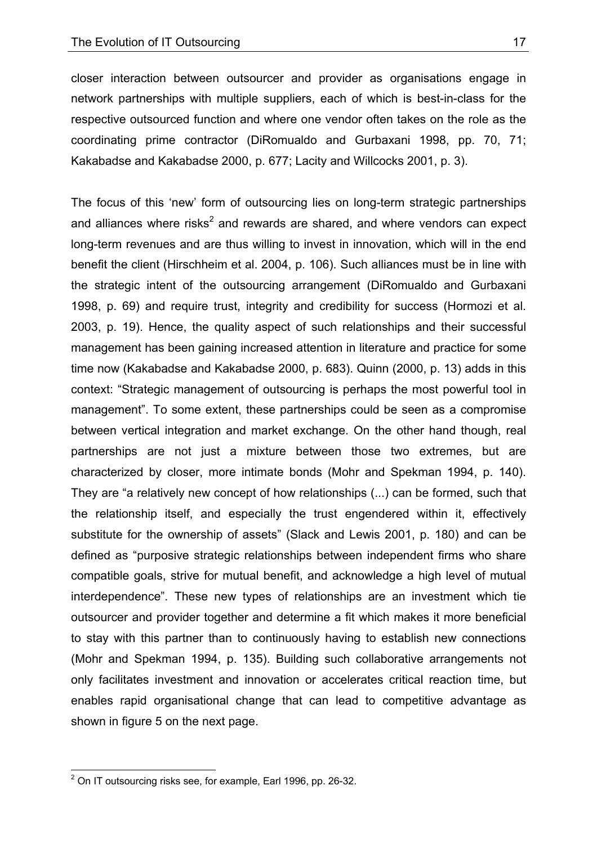closer interaction between outsourcer and provider as organisations engage in network partnerships with multiple suppliers, each of which is best-in-class for the respective outsourced function and where one vendor often takes on the role as the coordinating prime contractor (DiRomualdo and Gurbaxani 1998, pp. 70, 71; Kakabadse and Kakabadse 2000, p. 677; Lacity and Willcocks 2001, p. 3).

The focus of this 'new' form of outsourcing lies on long-term strategic partnerships and alliances where risks<sup>2</sup> and rewards are shared, and where vendors can expect long-term revenues and are thus willing to invest in innovation, which will in the end benefit the client (Hirschheim et al. 2004, p. 106). Such alliances must be in line with the strategic intent of the outsourcing arrangement (DiRomualdo and Gurbaxani 1998, p. 69) and require trust, integrity and credibility for success (Hormozi et al. 2003, p. 19). Hence, the quality aspect of such relationships and their successful management has been gaining increased attention in literature and practice for some time now (Kakabadse and Kakabadse 2000, p. 683). Quinn (2000, p. 13) adds in this context: "Strategic management of outsourcing is perhaps the most powerful tool in management". To some extent, these partnerships could be seen as a compromise between vertical integration and market exchange. On the other hand though, real partnerships are not just a mixture between those two extremes, but are characterized by closer, more intimate bonds (Mohr and Spekman 1994, p. 140). They are "a relatively new concept of how relationships (...) can be formed, such that the relationship itself, and especially the trust engendered within it, effectively substitute for the ownership of assets" (Slack and Lewis 2001, p. 180) and can be defined as "purposive strategic relationships between independent firms who share compatible goals, strive for mutual benefit, and acknowledge a high level of mutual interdependence". These new types of relationships are an investment which tie outsourcer and provider together and determine a fit which makes it more beneficial to stay with this partner than to continuously having to establish new connections (Mohr and Spekman 1994, p. 135). Building such collaborative arrangements not only facilitates investment and innovation or accelerates critical reaction time, but enables rapid organisational change that can lead to competitive advantage as shown in figure 5 on the next page.

 $\overline{a}$ 

 $2$  On IT outsourcing risks see, for example, Earl 1996, pp. 26-32.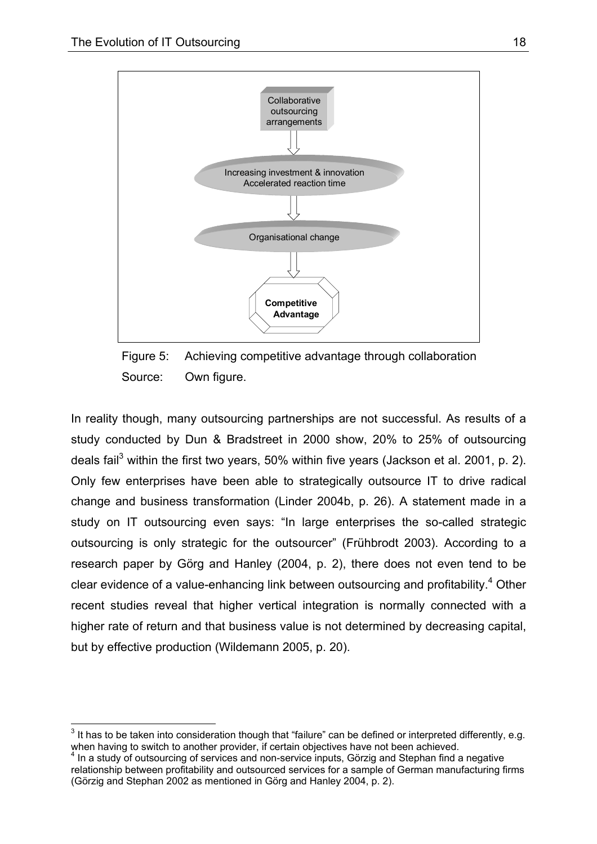1



Figure 5: Achieving competitive advantage through collaboration Source: Own figure.

In reality though, many outsourcing partnerships are not successful. As results of a study conducted by Dun & Bradstreet in 2000 show, 20% to 25% of outsourcing deals fail<sup>3</sup> within the first two years, 50% within five years (Jackson et al. 2001, p. 2). Only few enterprises have been able to strategically outsource IT to drive radical change and business transformation (Linder 2004b, p. 26). A statement made in a study on IT outsourcing even says: "In large enterprises the so-called strategic outsourcing is only strategic for the outsourcer" (Frühbrodt 2003). According to a research paper by Görg and Hanley (2004, p. 2), there does not even tend to be clear evidence of a value-enhancing link between outsourcing and profitability. $4$  Other recent studies reveal that higher vertical integration is normally connected with a higher rate of return and that business value is not determined by decreasing capital, but by effective production (Wildemann 2005, p. 20).

 $3$  It has to be taken into consideration though that "failure" can be defined or interpreted differently, e.g. when having to switch to another provider, if certain objectives have not been achieved.

 $4$  In a study of outsourcing of services and non-service inputs, Görzig and Stephan find a negative relationship between profitability and outsourced services for a sample of German manufacturing firms (Görzig and Stephan 2002 as mentioned in Görg and Hanley 2004, p. 2).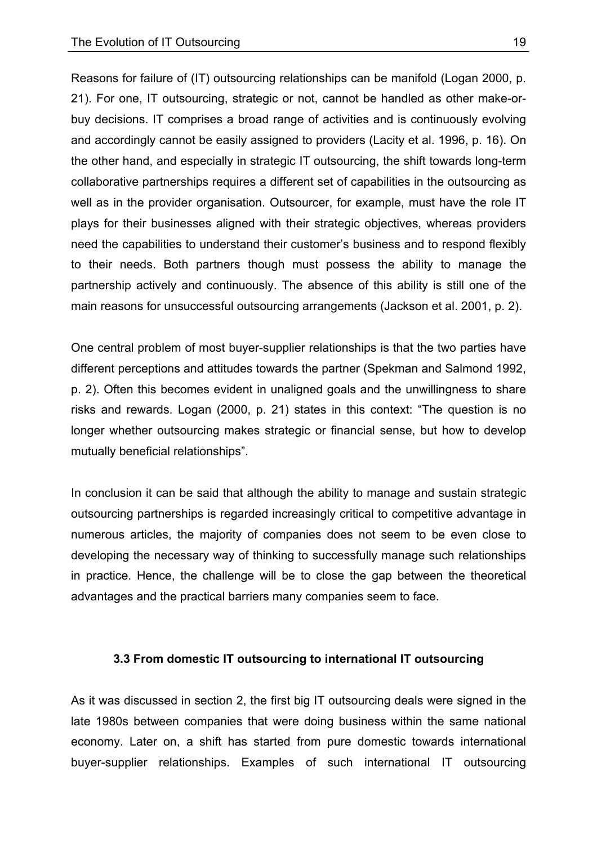Reasons for failure of (IT) outsourcing relationships can be manifold (Logan 2000, p. 21). For one, IT outsourcing, strategic or not, cannot be handled as other make-orbuy decisions. IT comprises a broad range of activities and is continuously evolving and accordingly cannot be easily assigned to providers (Lacity et al. 1996, p. 16). On the other hand, and especially in strategic IT outsourcing, the shift towards long-term collaborative partnerships requires a different set of capabilities in the outsourcing as well as in the provider organisation. Outsourcer, for example, must have the role IT plays for their businesses aligned with their strategic objectives, whereas providers need the capabilities to understand their customer's business and to respond flexibly to their needs. Both partners though must possess the ability to manage the partnership actively and continuously. The absence of this ability is still one of the main reasons for unsuccessful outsourcing arrangements (Jackson et al. 2001, p. 2).

One central problem of most buyer-supplier relationships is that the two parties have different perceptions and attitudes towards the partner (Spekman and Salmond 1992, p. 2). Often this becomes evident in unaligned goals and the unwillingness to share risks and rewards. Logan (2000, p. 21) states in this context: "The question is no longer whether outsourcing makes strategic or financial sense, but how to develop mutually beneficial relationships".

In conclusion it can be said that although the ability to manage and sustain strategic outsourcing partnerships is regarded increasingly critical to competitive advantage in numerous articles, the majority of companies does not seem to be even close to developing the necessary way of thinking to successfully manage such relationships in practice. Hence, the challenge will be to close the gap between the theoretical advantages and the practical barriers many companies seem to face.

#### **3.3 From domestic IT outsourcing to international IT outsourcing**

As it was discussed in section 2, the first big IT outsourcing deals were signed in the late 1980s between companies that were doing business within the same national economy. Later on, a shift has started from pure domestic towards international buyer-supplier relationships. Examples of such international IT outsourcing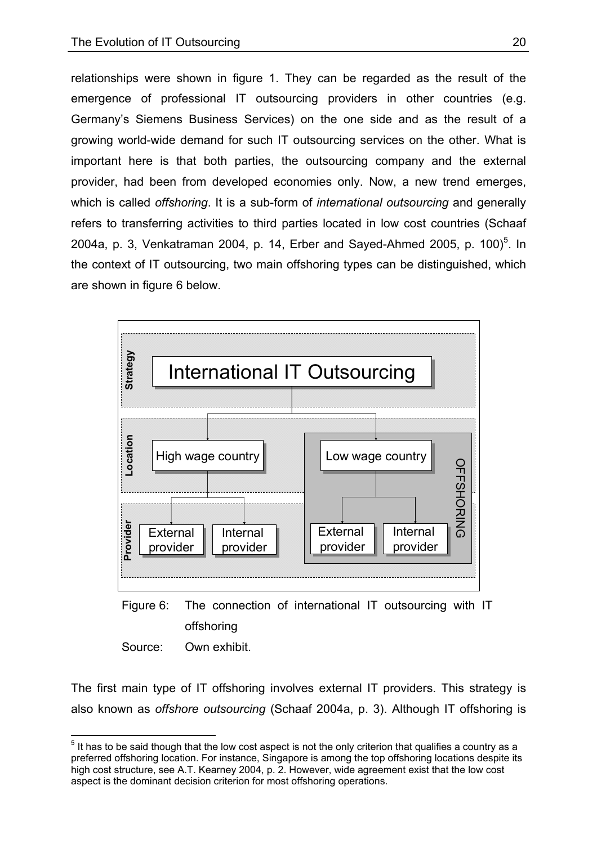relationships were shown in figure 1. They can be regarded as the result of the emergence of professional IT outsourcing providers in other countries (e.g. Germany's Siemens Business Services) on the one side and as the result of a growing world-wide demand for such IT outsourcing services on the other. What is important here is that both parties, the outsourcing company and the external provider, had been from developed economies only. Now, a new trend emerges, which is called *offshoring*. It is a sub-form of *international outsourcing* and generally refers to transferring activities to third parties located in low cost countries (Schaaf 2004a, p. 3, Venkatraman 2004, p. 14, Erber and Sayed-Ahmed 2005, p. 100)<sup>5</sup>. In the context of IT outsourcing, two main offshoring types can be distinguished, which are shown in figure 6 below.





Source: Own exhibit.

1

The first main type of IT offshoring involves external IT providers. This strategy is also known as *offshore outsourcing* (Schaaf 2004a, p. 3). Although IT offshoring is

 $<sup>5</sup>$  It has to be said though that the low cost aspect is not the only criterion that qualifies a country as a</sup> preferred offshoring location. For instance, Singapore is among the top offshoring locations despite its high cost structure, see A.T. Kearney 2004, p. 2. However, wide agreement exist that the low cost aspect is the dominant decision criterion for most offshoring operations.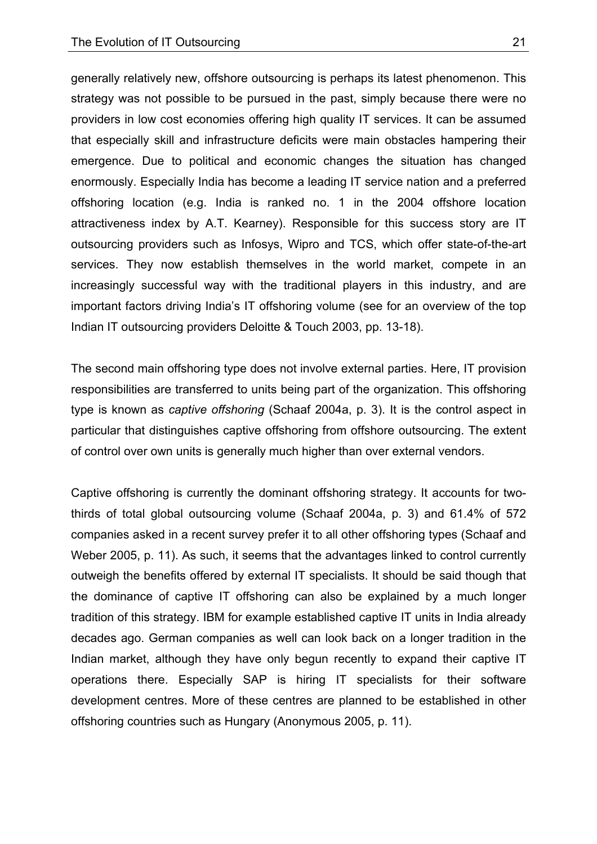generally relatively new, offshore outsourcing is perhaps its latest phenomenon. This strategy was not possible to be pursued in the past, simply because there were no providers in low cost economies offering high quality IT services. It can be assumed that especially skill and infrastructure deficits were main obstacles hampering their emergence. Due to political and economic changes the situation has changed enormously. Especially India has become a leading IT service nation and a preferred offshoring location (e.g. India is ranked no. 1 in the 2004 offshore location attractiveness index by A.T. Kearney). Responsible for this success story are IT outsourcing providers such as Infosys, Wipro and TCS, which offer state-of-the-art services. They now establish themselves in the world market, compete in an increasingly successful way with the traditional players in this industry, and are important factors driving India's IT offshoring volume (see for an overview of the top Indian IT outsourcing providers Deloitte & Touch 2003, pp. 13-18).

The second main offshoring type does not involve external parties. Here, IT provision responsibilities are transferred to units being part of the organization. This offshoring type is known as *captive offshoring* (Schaaf 2004a, p. 3). It is the control aspect in particular that distinguishes captive offshoring from offshore outsourcing. The extent of control over own units is generally much higher than over external vendors.

Captive offshoring is currently the dominant offshoring strategy. It accounts for twothirds of total global outsourcing volume (Schaaf 2004a, p. 3) and 61.4% of 572 companies asked in a recent survey prefer it to all other offshoring types (Schaaf and Weber 2005, p. 11). As such, it seems that the advantages linked to control currently outweigh the benefits offered by external IT specialists. It should be said though that the dominance of captive IT offshoring can also be explained by a much longer tradition of this strategy. IBM for example established captive IT units in India already decades ago. German companies as well can look back on a longer tradition in the Indian market, although they have only begun recently to expand their captive IT operations there. Especially SAP is hiring IT specialists for their software development centres. More of these centres are planned to be established in other offshoring countries such as Hungary (Anonymous 2005, p. 11).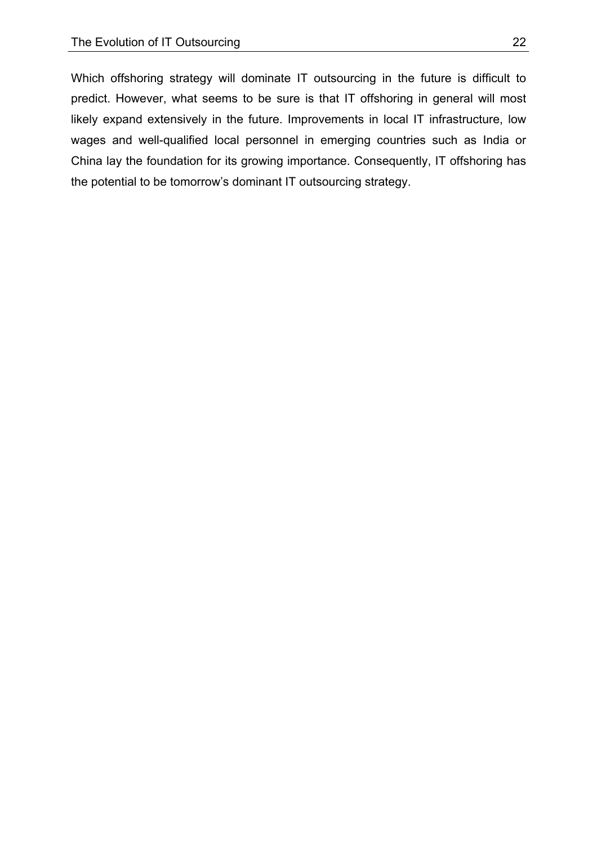Which offshoring strategy will dominate IT outsourcing in the future is difficult to predict. However, what seems to be sure is that IT offshoring in general will most likely expand extensively in the future. Improvements in local IT infrastructure, low wages and well-qualified local personnel in emerging countries such as India or China lay the foundation for its growing importance. Consequently, IT offshoring has the potential to be tomorrow's dominant IT outsourcing strategy.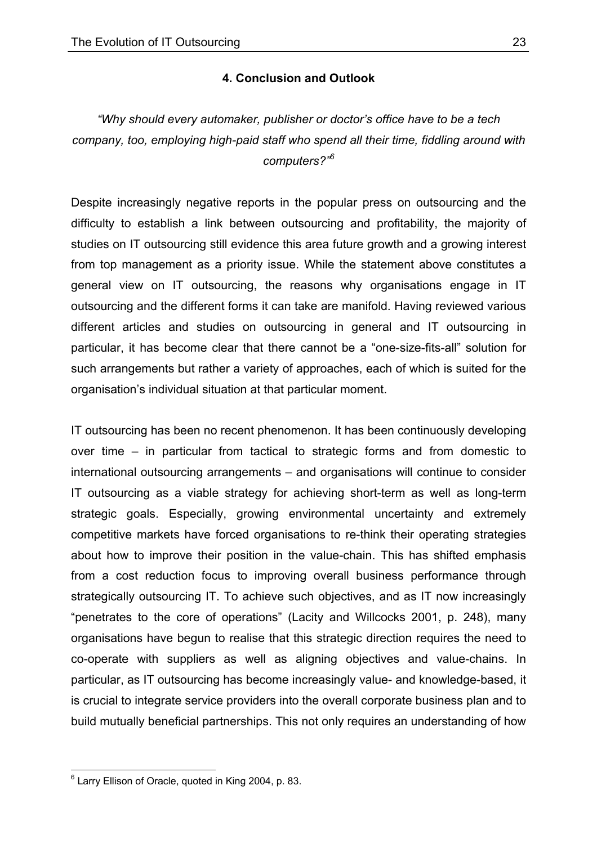### **4. Conclusion and Outlook**

*"Why should every automaker, publisher or doctor's office have to be a tech company, too, employing high-paid staff who spend all their time, fiddling around with computers?"<sup>6</sup>*

Despite increasingly negative reports in the popular press on outsourcing and the difficulty to establish a link between outsourcing and profitability, the majority of studies on IT outsourcing still evidence this area future growth and a growing interest from top management as a priority issue. While the statement above constitutes a general view on IT outsourcing, the reasons why organisations engage in IT outsourcing and the different forms it can take are manifold. Having reviewed various different articles and studies on outsourcing in general and IT outsourcing in particular, it has become clear that there cannot be a "one-size-fits-all" solution for such arrangements but rather a variety of approaches, each of which is suited for the organisation's individual situation at that particular moment.

IT outsourcing has been no recent phenomenon. It has been continuously developing over time – in particular from tactical to strategic forms and from domestic to international outsourcing arrangements – and organisations will continue to consider IT outsourcing as a viable strategy for achieving short-term as well as long-term strategic goals. Especially, growing environmental uncertainty and extremely competitive markets have forced organisations to re-think their operating strategies about how to improve their position in the value-chain. This has shifted emphasis from a cost reduction focus to improving overall business performance through strategically outsourcing IT. To achieve such objectives, and as IT now increasingly "penetrates to the core of operations" (Lacity and Willcocks 2001, p. 248), many organisations have begun to realise that this strategic direction requires the need to co-operate with suppliers as well as aligning objectives and value-chains. In particular, as IT outsourcing has become increasingly value- and knowledge-based, it is crucial to integrate service providers into the overall corporate business plan and to build mutually beneficial partnerships. This not only requires an understanding of how

1

<sup>&</sup>lt;sup>6</sup> Larry Ellison of Oracle, quoted in King 2004, p. 83.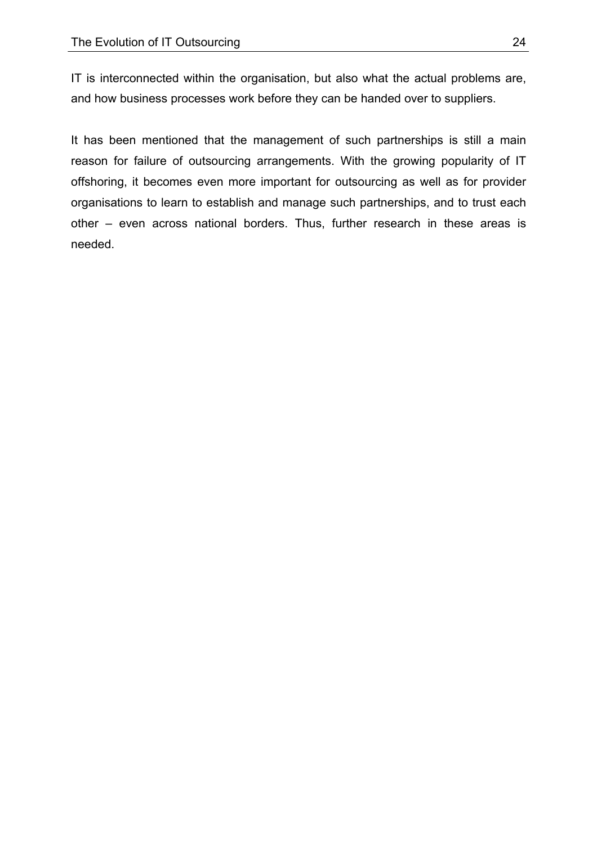IT is interconnected within the organisation, but also what the actual problems are, and how business processes work before they can be handed over to suppliers.

It has been mentioned that the management of such partnerships is still a main reason for failure of outsourcing arrangements. With the growing popularity of IT offshoring, it becomes even more important for outsourcing as well as for provider organisations to learn to establish and manage such partnerships, and to trust each other – even across national borders. Thus, further research in these areas is needed.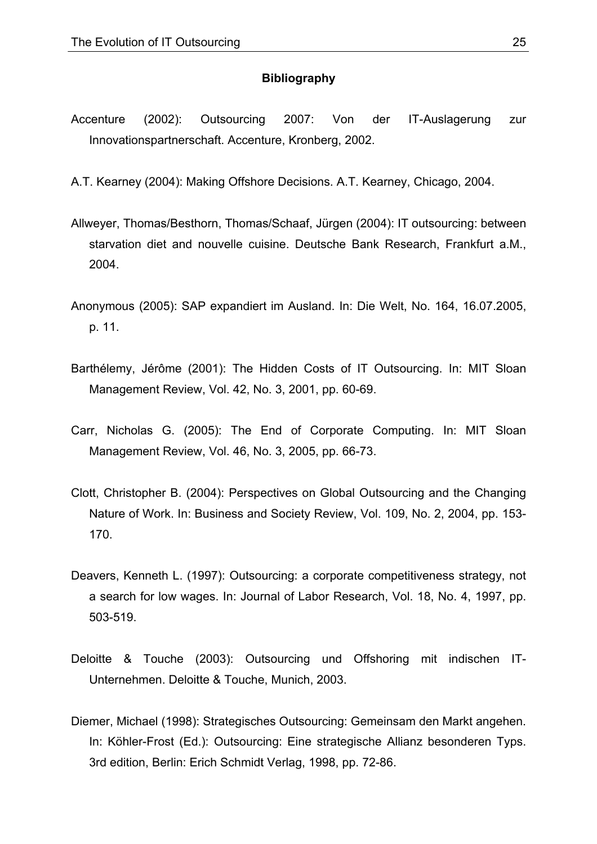#### **Bibliography**

Accenture (2002): Outsourcing 2007: Von der IT-Auslagerung zur Innovationspartnerschaft. Accenture, Kronberg, 2002.

A.T. Kearney (2004): Making Offshore Decisions. A.T. Kearney, Chicago, 2004.

- Allweyer, Thomas/Besthorn, Thomas/Schaaf, Jürgen (2004): IT outsourcing: between starvation diet and nouvelle cuisine. Deutsche Bank Research, Frankfurt a.M., 2004.
- Anonymous (2005): SAP expandiert im Ausland. In: Die Welt, No. 164, 16.07.2005, p. 11.
- Barthélemy, Jérôme (2001): The Hidden Costs of IT Outsourcing. In: MIT Sloan Management Review, Vol. 42, No. 3, 2001, pp. 60-69.
- Carr, Nicholas G. (2005): The End of Corporate Computing. In: MIT Sloan Management Review, Vol. 46, No. 3, 2005, pp. 66-73.
- Clott, Christopher B. (2004): Perspectives on Global Outsourcing and the Changing Nature of Work. In: Business and Society Review, Vol. 109, No. 2, 2004, pp. 153- 170.
- Deavers, Kenneth L. (1997): Outsourcing: a corporate competitiveness strategy, not a search for low wages. In: Journal of Labor Research, Vol. 18, No. 4, 1997, pp. 503-519.
- Deloitte & Touche (2003): Outsourcing und Offshoring mit indischen IT-Unternehmen. Deloitte & Touche, Munich, 2003.
- Diemer, Michael (1998): Strategisches Outsourcing: Gemeinsam den Markt angehen. In: Köhler-Frost (Ed.): Outsourcing: Eine strategische Allianz besonderen Typs. 3rd edition, Berlin: Erich Schmidt Verlag, 1998, pp. 72-86.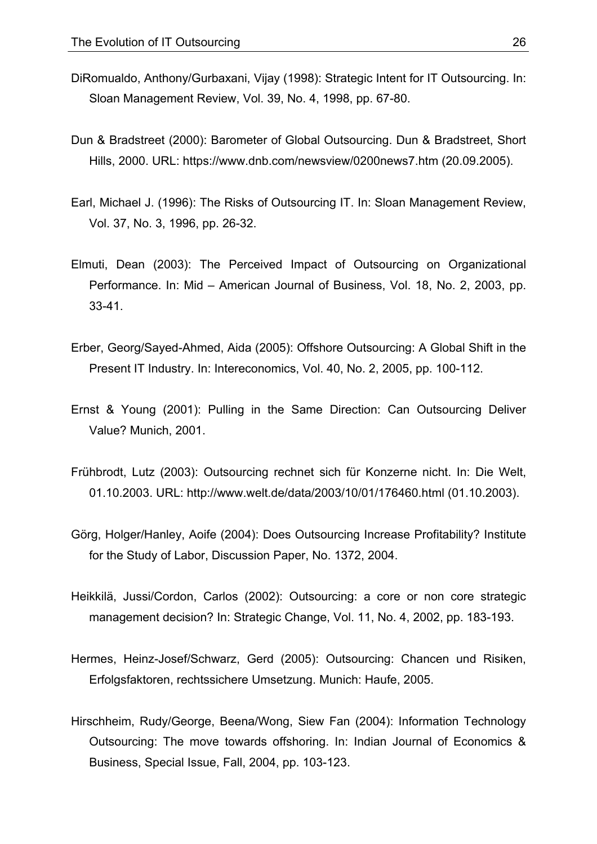- DiRomualdo, Anthony/Gurbaxani, Vijay (1998): Strategic Intent for IT Outsourcing. In: Sloan Management Review, Vol. 39, No. 4, 1998, pp. 67-80.
- Dun & Bradstreet (2000): Barometer of Global Outsourcing. Dun & Bradstreet, Short Hills, 2000. URL: https://www.dnb.com/newsview/0200news7.htm (20.09.2005).
- Earl, Michael J. (1996): The Risks of Outsourcing IT. In: Sloan Management Review, Vol. 37, No. 3, 1996, pp. 26-32.
- Elmuti, Dean (2003): The Perceived Impact of Outsourcing on Organizational Performance. In: Mid – American Journal of Business, Vol. 18, No. 2, 2003, pp. 33-41.
- Erber, Georg/Sayed-Ahmed, Aida (2005): Offshore Outsourcing: A Global Shift in the Present IT Industry. In: Intereconomics, Vol. 40, No. 2, 2005, pp. 100-112.
- Ernst & Young (2001): Pulling in the Same Direction: Can Outsourcing Deliver Value? Munich, 2001.
- Frühbrodt, Lutz (2003): Outsourcing rechnet sich für Konzerne nicht. In: Die Welt, 01.10.2003. URL: http://www.welt.de/data/2003/10/01/176460.html (01.10.2003).
- Görg, Holger/Hanley, Aoife (2004): Does Outsourcing Increase Profitability? Institute for the Study of Labor, Discussion Paper, No. 1372, 2004.
- Heikkilä, Jussi/Cordon, Carlos (2002): Outsourcing: a core or non core strategic management decision? In: Strategic Change, Vol. 11, No. 4, 2002, pp. 183-193.
- Hermes, Heinz-Josef/Schwarz, Gerd (2005): Outsourcing: Chancen und Risiken, Erfolgsfaktoren, rechtssichere Umsetzung. Munich: Haufe, 2005.
- Hirschheim, Rudy/George, Beena/Wong, Siew Fan (2004): Information Technology Outsourcing: The move towards offshoring. In: Indian Journal of Economics & Business, Special Issue, Fall, 2004, pp. 103-123.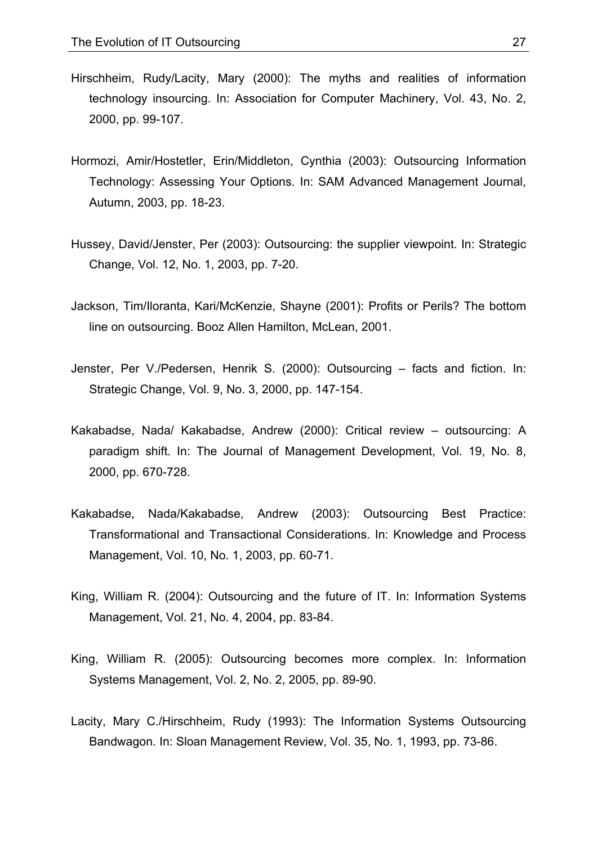- Hirschheim, Rudy/Lacity, Mary (2000): The myths and realities of information technology insourcing. In: Association for Computer Machinery, Vol. 43, No. 2, 2000, pp. 99-107.
- Hormozi, Amir/Hostetler, Erin/Middleton, Cynthia (2003): Outsourcing Information Technology: Assessing Your Options. In: SAM Advanced Management Journal, Autumn, 2003, pp. 18-23.
- Hussey, David/Jenster, Per (2003): Outsourcing: the supplier viewpoint. In: Strategic Change, Vol. 12, No. 1, 2003, pp. 7-20.
- Jackson, Tim/Iloranta, Kari/McKenzie, Shayne (2001): Profits or Perils? The bottom line on outsourcing. Booz Allen Hamilton, McLean, 2001.
- Jenster, Per V./Pedersen, Henrik S. (2000): Outsourcing facts and fiction. In: Strategic Change, Vol. 9, No. 3, 2000, pp. 147-154.
- Kakabadse, Nada/ Kakabadse, Andrew (2000): Critical review outsourcing: A paradigm shift. In: The Journal of Management Development, Vol. 19, No. 8, 2000, pp. 670-728.
- Kakabadse, Nada/Kakabadse, Andrew (2003): Outsourcing Best Practice: Transformational and Transactional Considerations. In: Knowledge and Process Management, Vol. 10, No. 1, 2003, pp. 60-71.
- King, William R. (2004): Outsourcing and the future of IT. In: Information Systems Management, Vol. 21, No. 4, 2004, pp. 83-84.
- King, William R. (2005): Outsourcing becomes more complex. In: Information Systems Management, Vol. 2, No. 2, 2005, pp. 89-90.
- Lacity, Mary C./Hirschheim, Rudy (1993): The Information Systems Outsourcing Bandwagon. In: Sloan Management Review, Vol. 35, No. 1, 1993, pp. 73-86.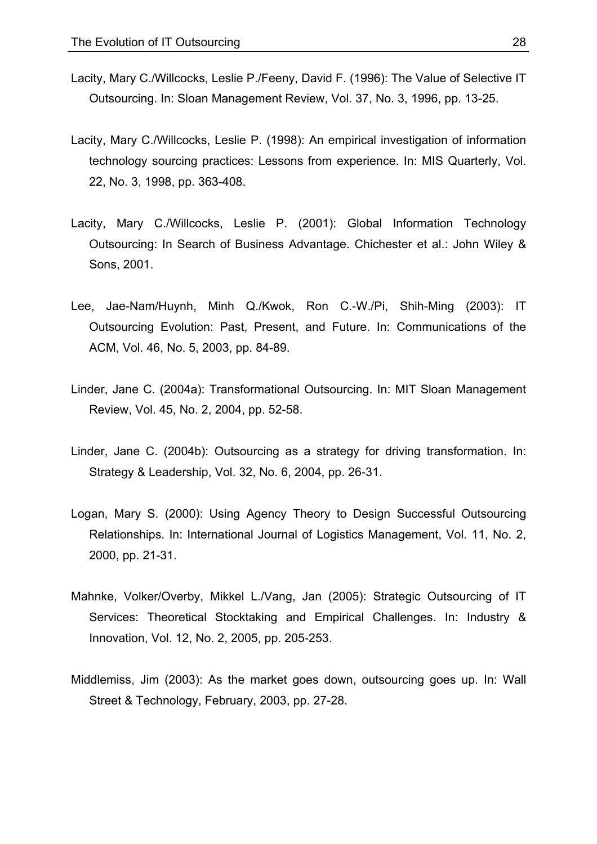- Lacity, Mary C./Willcocks, Leslie P./Feeny, David F. (1996): The Value of Selective IT Outsourcing. In: Sloan Management Review, Vol. 37, No. 3, 1996, pp. 13-25.
- Lacity, Mary C./Willcocks, Leslie P. (1998): An empirical investigation of information technology sourcing practices: Lessons from experience. In: MIS Quarterly, Vol. 22, No. 3, 1998, pp. 363-408.
- Lacity, Mary C./Willcocks, Leslie P. (2001): Global Information Technology Outsourcing: In Search of Business Advantage. Chichester et al.: John Wiley & Sons, 2001.
- Lee, Jae-Nam/Huynh, Minh Q./Kwok, Ron C.-W./Pi, Shih-Ming (2003): IT Outsourcing Evolution: Past, Present, and Future. In: Communications of the ACM, Vol. 46, No. 5, 2003, pp. 84-89.
- Linder, Jane C. (2004a): Transformational Outsourcing. In: MIT Sloan Management Review, Vol. 45, No. 2, 2004, pp. 52-58.
- Linder, Jane C. (2004b): Outsourcing as a strategy for driving transformation. In: Strategy & Leadership, Vol. 32, No. 6, 2004, pp. 26-31.
- Logan, Mary S. (2000): Using Agency Theory to Design Successful Outsourcing Relationships. In: International Journal of Logistics Management, Vol. 11, No. 2, 2000, pp. 21-31.
- Mahnke, Volker/Overby, Mikkel L./Vang, Jan (2005): Strategic Outsourcing of IT Services: Theoretical Stocktaking and Empirical Challenges. In: Industry & Innovation, Vol. 12, No. 2, 2005, pp. 205-253.
- Middlemiss, Jim (2003): As the market goes down, outsourcing goes up. In: Wall Street & Technology, February, 2003, pp. 27-28.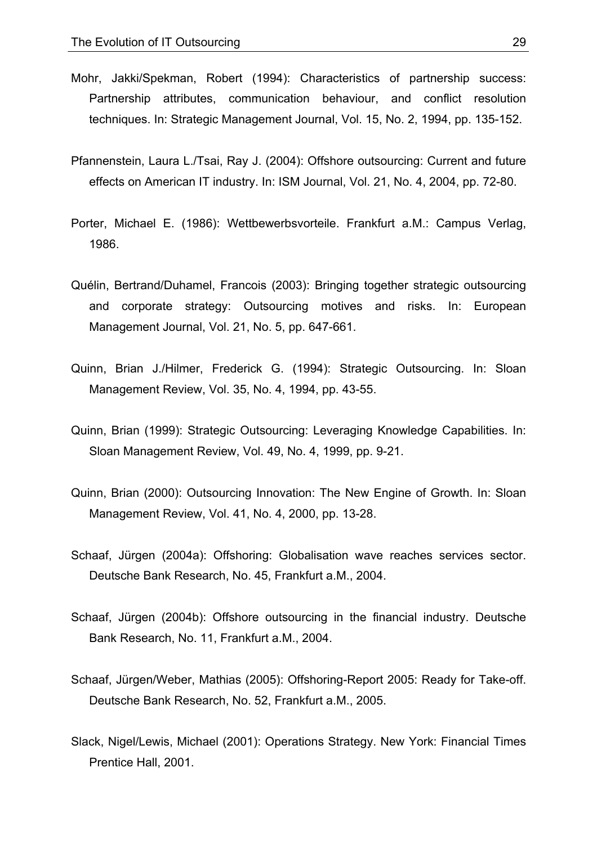- Mohr, Jakki/Spekman, Robert (1994): Characteristics of partnership success: Partnership attributes, communication behaviour, and conflict resolution techniques. In: Strategic Management Journal, Vol. 15, No. 2, 1994, pp. 135-152.
- Pfannenstein, Laura L./Tsai, Ray J. (2004): Offshore outsourcing: Current and future effects on American IT industry. In: ISM Journal, Vol. 21, No. 4, 2004, pp. 72-80.
- Porter, Michael E. (1986): Wettbewerbsvorteile. Frankfurt a.M.: Campus Verlag, 1986.
- Quélin, Bertrand/Duhamel, Francois (2003): Bringing together strategic outsourcing and corporate strategy: Outsourcing motives and risks. In: European Management Journal, Vol. 21, No. 5, pp. 647-661.
- Quinn, Brian J./Hilmer, Frederick G. (1994): Strategic Outsourcing. In: Sloan Management Review, Vol. 35, No. 4, 1994, pp. 43-55.
- Quinn, Brian (1999): Strategic Outsourcing: Leveraging Knowledge Capabilities. In: Sloan Management Review, Vol. 49, No. 4, 1999, pp. 9-21.
- Quinn, Brian (2000): Outsourcing Innovation: The New Engine of Growth. In: Sloan Management Review, Vol. 41, No. 4, 2000, pp. 13-28.
- Schaaf, Jürgen (2004a): Offshoring: Globalisation wave reaches services sector. Deutsche Bank Research, No. 45, Frankfurt a.M., 2004.
- Schaaf, Jürgen (2004b): Offshore outsourcing in the financial industry. Deutsche Bank Research, No. 11, Frankfurt a.M., 2004.
- Schaaf, Jürgen/Weber, Mathias (2005): Offshoring-Report 2005: Ready for Take-off. Deutsche Bank Research, No. 52, Frankfurt a.M., 2005.
- Slack, Nigel/Lewis, Michael (2001): Operations Strategy. New York: Financial Times Prentice Hall, 2001.